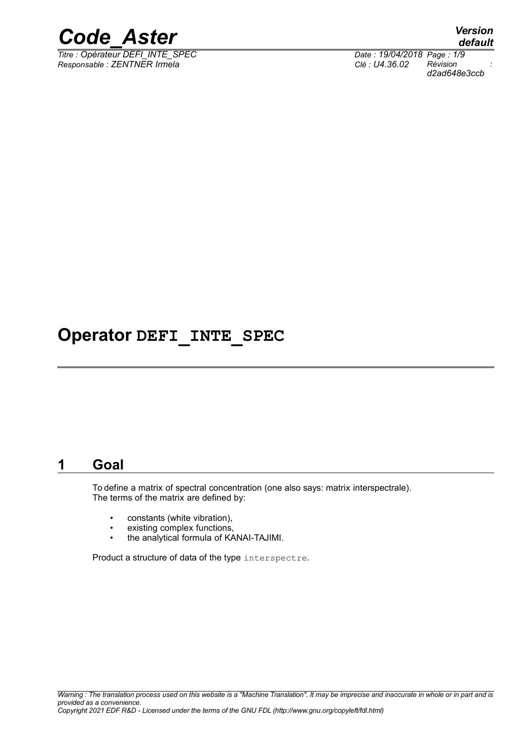

*Titre : Opérateur DEFI\_INTE\_SPEC Date : 19/04/2018 Page : 1/9 Responsable : ZENTNER Irmela Clé : U4.36.02 Révision :*

*default d2ad648e3ccb*

## **Operator DEFI\_INTE\_SPEC**

### **1 Goal**

To define a matrix of spectral concentration (one also says: matrix interspectrale). The terms of the matrix are defined by:

- constants (white vibration),
- existing complex functions,
- the analytical formula of KANAI-TAJIMI.

Product a structure of data of the type interspectre.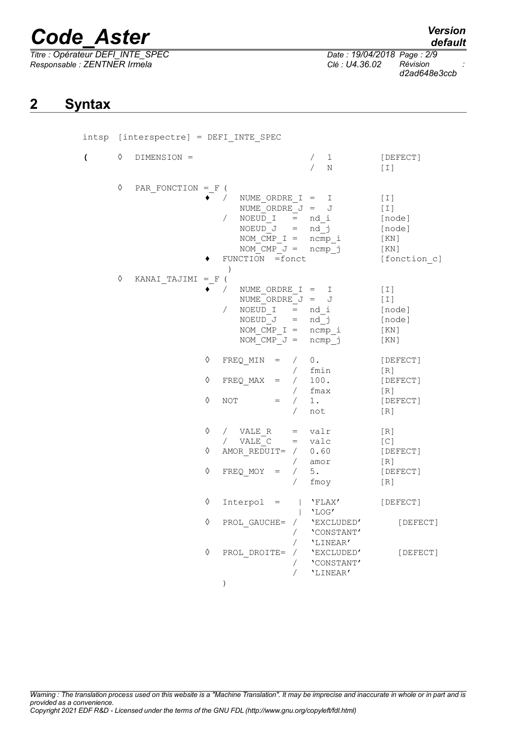*Titre : Opérateur DEFI\_INTE\_SPEC Date : 19/04/2018 Page : 2/9 Responsable : ZENTNER Irmela Clé : U4.36.02 Révision :*

*d2ad648e3ccb*

### **2 Syntax**

|                         | intsp [interspectre] = DEFI INTE SPEC |                     |            |                                                                                                                                                                            |                                                           |                                                                |
|-------------------------|---------------------------------------|---------------------|------------|----------------------------------------------------------------------------------------------------------------------------------------------------------------------------|-----------------------------------------------------------|----------------------------------------------------------------|
| $\overline{\mathbf{C}}$ | ♦                                     | DIMENSION =         |            |                                                                                                                                                                            | $\mathbf{1}$<br>N                                         | [DEFECT]<br>[T]                                                |
|                         | ♦                                     | PAR FONCTION = $F($ |            | NUME ORDRE I = I<br>NUME ORDRE $J = J$<br>NOEUD $I = nd i$<br>$\sqrt{2}$<br>NOEUD $J = nd j$<br>$NOM_CMP_I = ncmp_i$<br>NOM CMP $J = n$ cmp j<br>FUNCTION =fonct<br>$\, )$ |                                                           | [T]<br>[T]<br>[node]<br>[node]<br>[KN]<br>[KN]<br>[fonction c] |
|                         | ♦                                     | KANAI TAJIMI = F (  |            | $\sqrt{2}$<br>NUME ORDRE $I = I$<br>NUME ORDRE $J = J$<br>NOEUD $I = nd i$<br>$\sqrt{2}$<br>NOEUD $J = nd j$<br>NOM CMP $I = ncmp i$<br>NOM CMP $J = n$ cmp j              |                                                           | [T]<br>[T]<br>[node]<br>[node]<br>[KN]<br>[KN]                 |
|                         |                                       |                     | ♦<br>♦     | FREQ MIN<br>$=$ /<br>FREQ MAX<br>$=$                                                                                                                                       | 0.<br>fmin<br>/ 100.<br>$/$ fmax                          | [DEFECT]<br>[R]<br>[DEFECT]<br>[R]                             |
|                         |                                       |                     | ♦          | NOT<br>$=$<br>$\sqrt{2}$                                                                                                                                                   | $/$ 1.<br>not                                             | [DEFECT]<br>[R]                                                |
|                         |                                       |                     | ♦<br>♦     | / VALE R<br>/ $VALE C = valC$<br>AMOR REDUIT= $/ 0.60$                                                                                                                     | $=$ valr                                                  | [R]<br>[C]<br>[DEFECT]                                         |
|                         |                                       |                     | $\Diamond$ | $\sqrt{2}$<br>$FREQ$ MOY $=$<br>$\sqrt{2}$<br>$\sqrt{2}$                                                                                                                   | amor<br>5.<br>fmoy                                        | [R]<br>[DEFECT]<br>[R]                                         |
|                         |                                       |                     | ♦          | $Interpol =   'FLAX'$                                                                                                                                                      | $\vert$ 'LOG'                                             | [DEFECT]                                                       |
|                         |                                       |                     | ♦          | PROL_GAUCHE= / <b>'</b> EXCLUDED'                                                                                                                                          | / $\lq\textsc{^\textsf{^\prime} }$ <code>\constant</code> | [DEFECT]                                                       |
|                         |                                       |                     | ♦          | $\sqrt{2}$<br>$PROL_DROITE = / VEXCLUDED'$<br>$\sqrt{2}$<br>$\sqrt{2}$<br>$\mathcal{C}$                                                                                    | 'LINEAR'<br>'CONSTANT'<br>'LINEAR'                        | [DEFECT]                                                       |

*Warning : The translation process used on this website is a "Machine Translation". It may be imprecise and inaccurate in whole or in part and is provided as a convenience. Copyright 2021 EDF R&D - Licensed under the terms of the GNU FDL (http://www.gnu.org/copyleft/fdl.html)*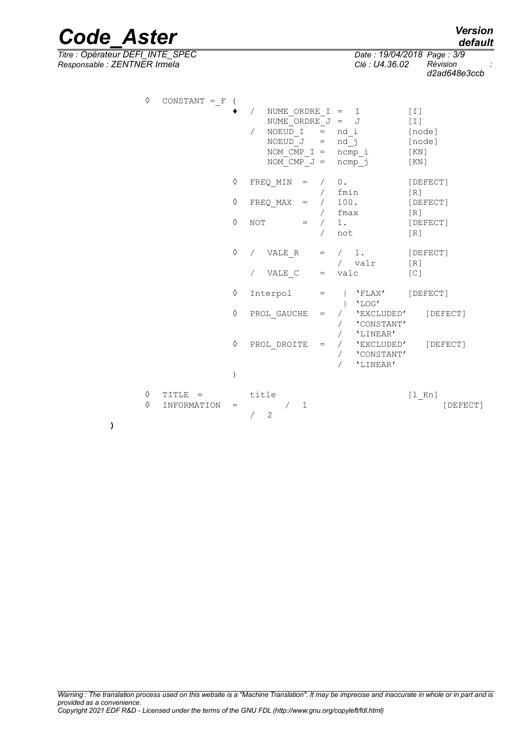*Titre : Opérateur DEFI\_INTE\_SPEC Date : 19/04/2018 Page : 3/9 Responsable : ZENTNER Irmela Clé : U4.36.02 Révision :*

| ♦      | $CONSTANT = F$           |               | NUME ORDRE I = I<br>$\sqrt{2}$<br>NUME ORDRE $J = J$<br>NOEUD I<br>$\sqrt{2}$<br>$NOEUD_J = nd_j$<br>$NOM_CMP_I = ncmp_i$<br>NOM CMP $J = n$ cmp j |                                   | $=$ nd i                                           | [T]<br>$[1]$<br>[node]<br>[node]<br>[ KN ]<br>[KN] |
|--------|--------------------------|---------------|----------------------------------------------------------------------------------------------------------------------------------------------------|-----------------------------------|----------------------------------------------------|----------------------------------------------------|
|        |                          | ♦             | FREQ MIN<br>$=$                                                                                                                                    |                                   | / 0.<br>$/$ fmin                                   | [DEFECT]<br>[R]                                    |
|        |                          | ♦             | FREQ MAX<br>$=$                                                                                                                                    |                                   | / 100.                                             | [DEFECT]                                           |
|        |                          | $\Diamond$    | <b>NOT</b><br>$=$                                                                                                                                  | $\sqrt{2}$                        | / fmax<br>/1.<br>not                               | [R]<br>[DEFECT]<br>[R]                             |
|        |                          | ♦             | VALE R<br>$\sqrt{2}$                                                                                                                               |                                   | $=$ $\left( 1. \right)$                            | [DEFECT]                                           |
|        |                          |               | VALE C                                                                                                                                             |                                   | / valr<br>$=$ valc                                 | [R]<br>[C]                                         |
|        |                          | ♦             | Interpol                                                                                                                                           | $=$                               | 'FLAX'<br>'LOG'                                    | [DEFECT]                                           |
|        |                          | ♦             | PROL GAUCHE                                                                                                                                        | $\hspace{1.6cm} = \hspace{1.6cm}$ | / 'EXCLUDED'<br>'CONSTANT'                         | [DEFECT]                                           |
|        |                          | ♦             | PROL DROITE                                                                                                                                        | $\hspace{1.6cm} = \hspace{1.6cm}$ | 'LINEAR'<br>/ 'EXCLUDED'<br>'CONSTANT'<br>'LINEAR' | [DEFECT]                                           |
|        |                          | $\mathcal{E}$ |                                                                                                                                                    |                                   |                                                    |                                                    |
| ♦<br>♦ | $TITLE =$<br>INFORMATION | $=$           | title<br>$\mathbf{1}$<br>2                                                                                                                         |                                   |                                                    | $[1$ Kn]<br>[DEFECT]                               |

# *Code\_Aster Version*

**)**

*default*

*d2ad648e3ccb*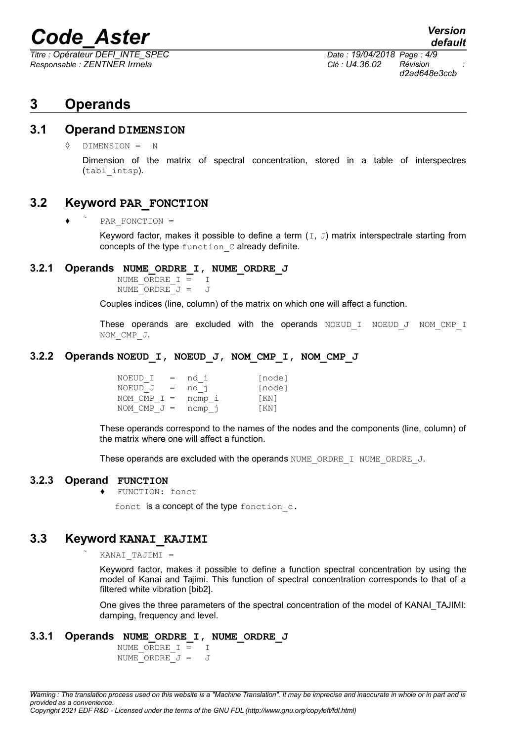*Titre : Opérateur DEFI\_INTE\_SPEC Date : 19/04/2018 Page : 4/9 Responsable : ZENTNER Irmela Clé : U4.36.02 Révision :*

*d2ad648e3ccb*

### **3 Operands**

#### **3.1 Operand DIMENSION**

◊ DIMENSION = N

Dimension of the matrix of spectral concentration, stored in a table of interspectres (tabl\_intsp).

#### **3.2 Keyword PAR\_FONCTION**

♦ PAR\_FONCTION =

Keyword factor, makes it possible to define a term  $(I, J)$  matrix interspectrale starting from concepts of the type function C already definite.

#### **3.2.1 Operands NUME\_ORDRE\_I, NUME\_ORDRE\_J**

NUME ORDRE  $I = I$ NUME ORDRE  $J = J$ 

Couples indices (line, column) of the matrix on which one will affect a function.

These operands are excluded with the operands NOEUD I NOEUD J NOM CMP I NOM\_CMP\_J.

#### **3.2.2 Operands NOEUD\_I, NOEUD\_J, NOM\_CMP\_I, NOM\_CMP\_J**

| NOEUD I<br>$=$ | nd i   | [node] |
|----------------|--------|--------|
| NOEUD J<br>$=$ | nd j   | [node] |
| NOM CMP $I =$  | ncmp i | [KN]   |
| NOM CMP $J =$  | ncmp j | [KN]   |

These operands correspond to the names of the nodes and the components (line, column) of the matrix where one will affect a function.

These operands are excluded with the operands NUME\_ORDRE\_I NUME\_ORDRE\_J.

#### **3.2.3 Operand FUNCTION**

♦ FUNCTION: fonct

fonct is a concept of the type fonction  $c$ .

#### **3.3 Keyword KANAI\_KAJIMI**

KANAI TAJIMI =

Keyword factor, makes it possible to define a function spectral concentration by using the model of Kanai and Tajimi. This function of spectral concentration corresponds to that of a filtered white vibration [bib2].

One gives the three parameters of the spectral concentration of the model of KANAI\_TAJIMI: damping, frequency and level.

#### **3.3.1 Operands NUME\_ORDRE\_I, NUME\_ORDRE\_J**

NUME ORDRE  $I = I$ NUME ORDRE  $J = J$ 

*Copyright 2021 EDF R&D - Licensed under the terms of the GNU FDL (http://www.gnu.org/copyleft/fdl.html)*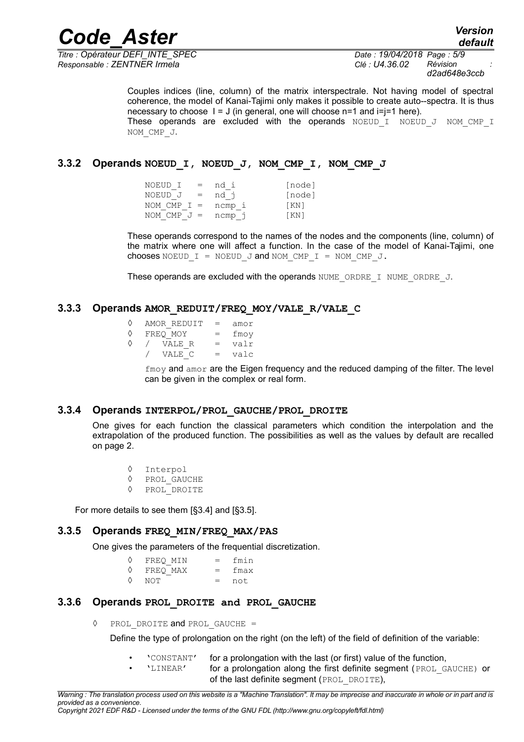*Titre : Opérateur DEFI\_INTE\_SPEC Date : 19/04/2018 Page : 5/9 Responsable : ZENTNER Irmela Clé : U4.36.02 Révision :*

*d2ad648e3ccb*

Couples indices (line, column) of the matrix interspectrale. Not having model of spectral coherence, the model of Kanai-Tajimi only makes it possible to create auto--spectra. It is thus necessary to choose  $I = J$  (in general, one will choose n=1 and i=j=1 here). These operands are excluded with the operands  $N$ OEUD I NOEUD J NOM CMP I NOM\_CMP\_J.

#### **3.3.2 Operands NOEUD\_I, NOEUD\_J, NOM\_CMP\_I, NOM\_CMP\_J**

| NOEUD I<br>$\equiv$ | nd i   | [node] |
|---------------------|--------|--------|
| NOEUD J<br>$=$      | nd j   | [node] |
| NOM CMP $I =$       | ncmp i | KN     |
| NOM CMP $J =$       | ncmp j | [KN]   |

These operands correspond to the names of the nodes and the components (line, column) of the matrix where one will affect a function. In the case of the model of Kanai-Tajimi, one chooses NOEUD  $I = NOEUD$  J and NOM CMP  $I = NOM$  CMP J.

These operands are excluded with the operands NUME\_ORDRE\_I\_NUME\_ORDRE\_J.

#### **3.3.3 Operands AMOR\_REDUIT/FREQ\_MOY/VALE\_R/VALE\_C**

|   | AMOR REDUIT | $=$ | amor |
|---|-------------|-----|------|
| ♦ | FREO MOY    | $=$ | fmoy |
|   | VALE R      | $=$ | valr |
|   | VALE C      | $=$ | valc |

 $f_{\text{mov}}$  and  $a_{\text{mor}}$  are the Eigen frequency and the reduced damping of the filter. The level can be given in the complex or real form.

#### **3.3.4 Operands INTERPOL/PROL\_GAUCHE/PROL\_DROITE**

One gives for each function the classical parameters which condition the interpolation and the extrapolation of the produced function. The possibilities as well as the values by default are recalled on page 2.

◊ Interpol

- ◊ PROL\_GAUCHE
- ◊ PROL\_DROITE

For more details to see them [§3.4] and [§3.5].

#### **3.3.5 Operands FREQ\_MIN/FREQ\_MAX/PAS**

One gives the parameters of the frequential discretization.

| ♦ | FREO MIN | $=$ | fmin |
|---|----------|-----|------|
| ♦ | FREO MAX | $=$ | fmax |
| ♦ | NOT      | $=$ | not. |

#### **3.3.6 Operands PROL\_DROITE and PROL\_GAUCHE**

◊ PROL\_DROITE and PROL\_GAUCHE =

Define the type of prolongation on the right (on the left) of the field of definition of the variable:

- 'CONSTANT' for a prolongation with the last (or first) value of the function,
- 'LINEAR' for a prolongation along the first definite segment (PROL\_GAUCHE) or of the last definite segment (PROL DROITE),

*Copyright 2021 EDF R&D - Licensed under the terms of the GNU FDL (http://www.gnu.org/copyleft/fdl.html)*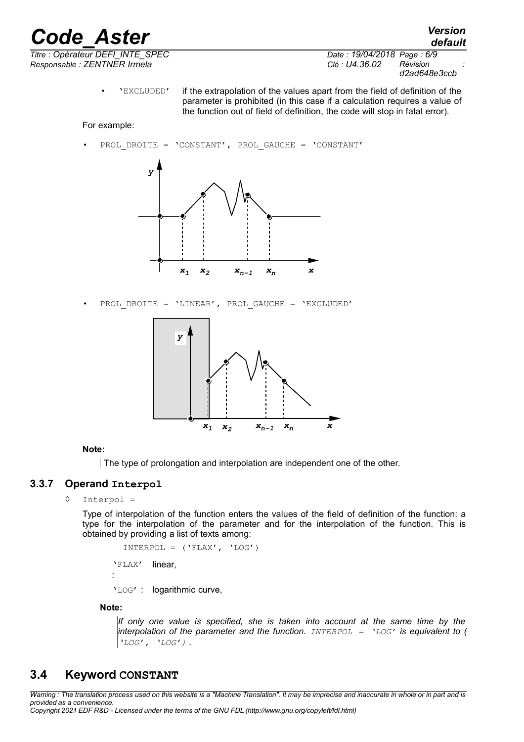*Code\_Aster Version Titre : Opérateur DEFI\_INTE\_SPEC Date : 19/04/2018 Page : 6/9 Responsable : ZENTNER Irmela Clé : U4.36.02 Révision :*

*default d2ad648e3ccb*

• 'EXCLUDED' if the extrapolation of the values apart from the field of definition of the parameter is prohibited (in this case if a calculation requires a value of the function out of field of definition, the code will stop in fatal error).

#### For example:

PROL DROITE = 'CONSTANT', PROL GAUCHE = 'CONSTANT'



• PROL\_DROITE = 'LINEAR', PROL\_GAUCHE = 'EXCLUDED'



#### **Note:**

The type of prolongation and interpolation are independent one of the other.

#### **3.3.7 Operand Interpol**

◊ Interpol =

Type of interpolation of the function enters the values of the field of definition of the function: a type for the interpolation of the parameter and for the interpolation of the function. This is obtained by providing a list of texts among:

 $INTERPOL = (YELAX', YLOG')$ 'FLAX' : linear, 'LOG' : logarithmic curve,

#### **Note:**

*If only one value is specified, she is taken into account at the same time by the interpolation of the parameter and the function. INTERPOL = 'LOG' is equivalent to ( 'LOG', 'LOG') .*

#### **3.4 Keyword CONSTANT**

*Warning : The translation process used on this website is a "Machine Translation". It may be imprecise and inaccurate in whole or in part and is provided as a convenience.*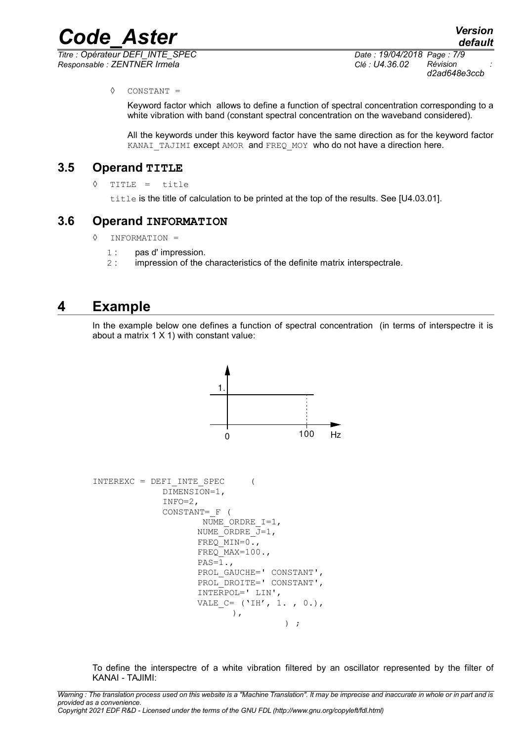*Titre : Opérateur DEFI\_INTE\_SPEC Date : 19/04/2018 Page : 7/9 Responsable : ZENTNER Irmela Clé : U4.36.02 Révision :*

*default d2ad648e3ccb*

#### ◊ CONSTANT =

Keyword factor which allows to define a function of spectral concentration corresponding to a white vibration with band (constant spectral concentration on the waveband considered).

All the keywords under this keyword factor have the same direction as for the keyword factor KANAI\_TAJIMI except AMOR and FREQ\_MOY who do not have a direction here.

#### **3.5 Operand TITLE**

◊ TITLE = title

title is the title of calculation to be printed at the top of the results. See [U4.03.01].

#### **3.6 Operand INFORMATION**

- ◊ INFORMATION =
	- 1 : pas d' impression.
	- 2 : impression of the characteristics of the definite matrix interspectrale.

#### **4 Example**

In the example below one defines a function of spectral concentration (in terms of interspectre it is about a matrix  $1 \times 1$ ) with constant value:



To define the interspectre of a white vibration filtered by an oscillator represented by the filter of KANAI - TAJIMI: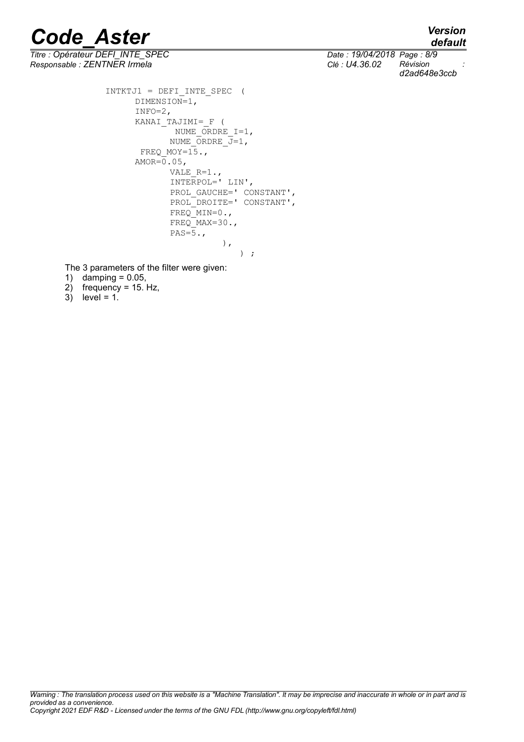*default*

*Titre : Opérateur DEFI\_INTE\_SPEC Date : 19/04/2018 Page : 8/9 Responsable : ZENTNER Irmela Clé : U4.36.02 Révision :*

*d2ad648e3ccb*

INTKTJ1 = DEFI\_INTE\_SPEC ( DIMENSION=1,  $INFO=2,$ KANAI\_TAJIMI=\_F ( NUME ORDRE  $I=1$ , NUME ORDRE  $\overline{J}=1$ , FREQ MOY= $15.$ ,  $AMOR = 0.05$ , VALE  $R=1.$ INTERPOL=' LIN', PROL GAUCHE=' CONSTANT', PROL DROITE=' CONSTANT', FREQ\_MIN=0., FREQ MAX=30., PAS= $\overline{5}$ ., ), ) ;

The 3 parameters of the filter were given:

- 1) damping = 0.05,
- 2) frequency = 15. Hz,
- $3)$  level = 1.